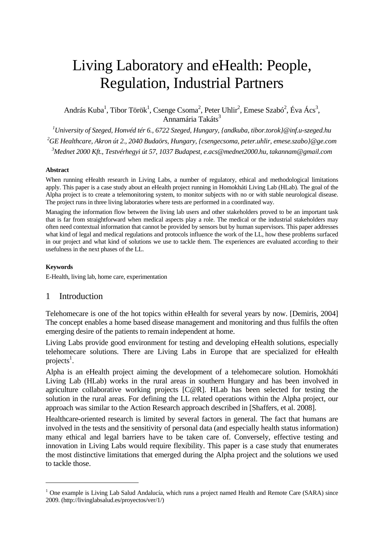# Living Laboratory and eHealth: People, Regulation, Industrial Partners

András Kuba<sup>1</sup>, Tibor Török<sup>1</sup>, Csenge Csoma<sup>2</sup>, Peter Uhlir<sup>2</sup>, Emese Szabó<sup>2</sup>, Éva Ács<sup>3</sup>, Annamária Takáts<sup>3</sup>

*1 University of Szeged, Honvéd tér 6., 6722 Szeged, Hungary, {andkuba, tibor.torok}@inf.u-szeged.hu 2 GE Healthcare, Akron út 2., 2040 Budaörs, Hungary, {csengecsoma, peter.uhlir, emese.szabo}@ge.com 3 Mednet 2000 Kft., Testvérhegyi út 57, 1037 Budapest, e.acs@mednet2000.hu, takannam@gmail.com* 

#### **Abstract**

When running eHealth research in Living Labs, a number of regulatory, ethical and methodological limitations apply. This paper is a case study about an eHealth project running in Homokháti Living Lab (HLab). The goal of the Alpha project is to create a telemonitoring system, to monitor subjects with no or with stable neurological disease. The project runs in three living laboratories where tests are performed in a coordinated way.

Managing the information flow between the living lab users and other stakeholders proved to be an important task that is far from straightforward when medical aspects play a role. The medical or the industrial stakeholders may often need contextual information that cannot be provided by sensors but by human supervisors. This paper addresses what kind of legal and medical regulations and protocols influence the work of the LL, how these problems surfaced in our project and what kind of solutions we use to tackle them. The experiences are evaluated according to their usefulness in the next phases of the LL.

#### **Keywords**

1

E-Health, living lab, home care, experimentation

#### 1 Introduction

Telehomecare is one of the hot topics within eHealth for several years by now. [Demiris, 2004] The concept enables a home based disease management and monitoring and thus fulfils the often emerging desire of the patients to remain independent at home.

Living Labs provide good environment for testing and developing eHealth solutions, especially telehomecare solutions. There are Living Labs in Europe that are specialized for eHealth projects<sup>1</sup>.

Alpha is an eHealth project aiming the development of a telehomecare solution. Homokháti Living Lab (HLab) works in the rural areas in southern Hungary and has been involved in agriculture collaborative working projects [C@R]. HLab has been selected for testing the solution in the rural areas. For defining the LL related operations within the Alpha project, our approach was similar to the Action Research approach described in [Shaffers, et al. 2008].

Healthcare-oriented research is limited by several factors in general. The fact that humans are involved in the tests and the sensitivity of personal data (and especially health status information) many ethical and legal barriers have to be taken care of. Conversely, effective testing and innovation in Living Labs would require flexibility. This paper is a case study that enumerates the most distinctive limitations that emerged during the Alpha project and the solutions we used to tackle those.

<sup>&</sup>lt;sup>1</sup> One example is Living Lab Salud Andalucía, which runs a project named Health and Remote Care (SARA) since 2009. (http://livinglabsalud.es/proyectos/ver/1/)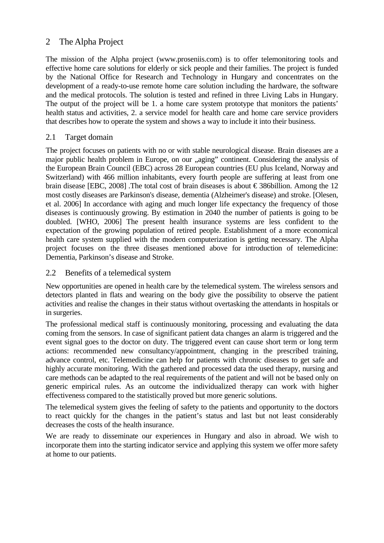# 2 The Alpha Project

The mission of the Alpha project (www.proseniis.com) is to offer telemonitoring tools and effective home care solutions for elderly or sick people and their families. The project is funded by the National Office for Research and Technology in Hungary and concentrates on the development of a ready-to-use remote home care solution including the hardware, the software and the medical protocols. The solution is tested and refined in three Living Labs in Hungary. The output of the project will be 1. a home care system prototype that monitors the patients' health status and activities, 2. a service model for health care and home care service providers that describes how to operate the system and shows a way to include it into their business.

## 2.1 Target domain

The project focuses on patients with no or with stable neurological disease. Brain diseases are a major public health problem in Europe, on our "aging" continent. Considering the analysis of the European Brain Council (EBC) across 28 European countries (EU plus Iceland, Norway and Switzerland) with 466 million inhabitants, every fourth people are suffering at least from one brain disease [EBC, 2008] .The total cost of brain diseases is about € 386billion. Among the 12 most costly diseases are Parkinson's disease, dementia (Alzheimer's disease) and stroke. [Olesen, et al. 2006] In accordance with aging and much longer life expectancy the frequency of those diseases is continuously growing. By estimation in 2040 the number of patients is going to be doubled. [WHO, 2006] The present health insurance systems are less confident to the expectation of the growing population of retired people. Establishment of a more economical health care system supplied with the modern computerization is getting necessary. The Alpha project focuses on the three diseases mentioned above for introduction of telemedicine: Dementia, Parkinson's disease and Stroke.

## 2.2 Benefits of a telemedical system

New opportunities are opened in health care by the telemedical system. The wireless sensors and detectors planted in flats and wearing on the body give the possibility to observe the patient activities and realise the changes in their status without overtasking the attendants in hospitals or in surgeries.

The professional medical staff is continuously monitoring, processing and evaluating the data coming from the sensors. In case of significant patient data changes an alarm is triggered and the event signal goes to the doctor on duty. The triggered event can cause short term or long term actions: recommended new consultancy/appointment, changing in the prescribed training, advance control, etc. Telemedicine can help for patients with chronic diseases to get safe and highly accurate monitoring. With the gathered and processed data the used therapy, nursing and care methods can be adapted to the real requirements of the patient and will not be based only on generic empirical rules. As an outcome the individualized therapy can work with higher effectiveness compared to the statistically proved but more generic solutions.

The telemedical system gives the feeling of safety to the patients and opportunity to the doctors to react quickly for the changes in the patient's status and last but not least considerably decreases the costs of the health insurance.

We are ready to disseminate our experiences in Hungary and also in abroad. We wish to incorporate them into the starting indicator service and applying this system we offer more safety at home to our patients.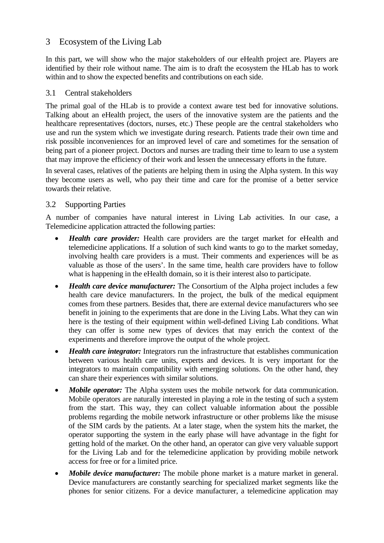# 3 Ecosystem of the Living Lab

In this part, we will show who the major stakeholders of our eHealth project are. Players are identified by their role without name. The aim is to draft the ecosystem the HLab has to work within and to show the expected benefits and contributions on each side.

#### 3.1 Central stakeholders

The primal goal of the HLab is to provide a context aware test bed for innovative solutions. Talking about an eHealth project, the users of the innovative system are the patients and the healthcare representatives (doctors, nurses, etc.) These people are the central stakeholders who use and run the system which we investigate during research. Patients trade their own time and risk possible inconveniences for an improved level of care and sometimes for the sensation of being part of a pioneer project. Doctors and nurses are trading their time to learn to use a system that may improve the efficiency of their work and lessen the unnecessary efforts in the future.

In several cases, relatives of the patients are helping them in using the Alpha system. In this way they become users as well, who pay their time and care for the promise of a better service towards their relative.

## 3.2 Supporting Parties

A number of companies have natural interest in Living Lab activities. In our case, a Telemedicine application attracted the following parties:

- *Health care provider:* Health care providers are the target market for eHealth and telemedicine applications. If a solution of such kind wants to go to the market someday, involving health care providers is a must. Their comments and experiences will be as valuable as those of the users'. In the same time, health care providers have to follow what is happening in the eHealth domain, so it is their interest also to participate.
- *Health care device manufacturer:* The Consortium of the Alpha project includes a few health care device manufacturers. In the project, the bulk of the medical equipment comes from these partners. Besides that, there are external device manufacturers who see benefit in joining to the experiments that are done in the Living Labs. What they can win here is the testing of their equipment within well-defined Living Lab conditions. What they can offer is some new types of devices that may enrich the context of the experiments and therefore improve the output of the whole project.
- *Health care integrator:* Integrators run the infrastructure that establishes communication between various health care units, experts and devices. It is very important for the integrators to maintain compatibility with emerging solutions. On the other hand, they can share their experiences with similar solutions.
- *Mobile operator:* The Alpha system uses the mobile network for data communication. Mobile operators are naturally interested in playing a role in the testing of such a system from the start. This way, they can collect valuable information about the possible problems regarding the mobile network infrastructure or other problems like the misuse of the SIM cards by the patients. At a later stage, when the system hits the market, the operator supporting the system in the early phase will have advantage in the fight for getting hold of the market. On the other hand, an operator can give very valuable support for the Living Lab and for the telemedicine application by providing mobile network access for free or for a limited price.
- *Mobile device manufacturer:* The mobile phone market is a mature market in general. Device manufacturers are constantly searching for specialized market segments like the phones for senior citizens. For a device manufacturer, a telemedicine application may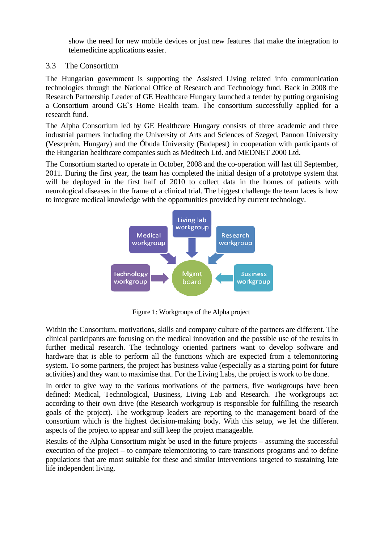show the need for new mobile devices or just new features that make the integration to telemedicine applications easier.

#### 3.3 The Consortium

The Hungarian government is supporting the Assisted Living related info communication technologies through the National Office of Research and Technology fund. Back in 2008 the Research Partnership Leader of GE Healthcare Hungary launched a tender by putting organising a Consortium around GE`s Home Health team. The consortium successfully applied for a research fund.

The Alpha Consortium led by GE Healthcare Hungary consists of three academic and three industrial partners including the University of Arts and Sciences of Szeged, Pannon University (Veszprém, Hungary) and the Óbuda University (Budapest) in cooperation with participants of the Hungarian healthcare companies such as Meditech Ltd. and MEDNET 2000 Ltd.

The Consortium started to operate in October, 2008 and the co-operation will last till September, 2011. During the first year, the team has completed the initial design of a prototype system that will be deployed in the first half of 2010 to collect data in the homes of patients with neurological diseases in the frame of a clinical trial. The biggest challenge the team faces is how to integrate medical knowledge with the opportunities provided by current technology.



Figure 1: Workgroups of the Alpha project

Within the Consortium, motivations, skills and company culture of the partners are different. The clinical participants are focusing on the medical innovation and the possible use of the results in further medical research. The technology oriented partners want to develop software and hardware that is able to perform all the functions which are expected from a telemonitoring system. To some partners, the project has business value (especially as a starting point for future activities) and they want to maximise that. For the Living Labs, the project is work to be done.

In order to give way to the various motivations of the partners, five workgroups have been defined: Medical, Technological, Business, Living Lab and Research. The workgroups act according to their own drive (the Research workgroup is responsible for fulfilling the research goals of the project). The workgroup leaders are reporting to the management board of the consortium which is the highest decision-making body. With this setup, we let the different aspects of the project to appear and still keep the project manageable.

Results of the Alpha Consortium might be used in the future projects – assuming the successful execution of the project – to compare telemonitoring to care transitions programs and to define populations that are most suitable for these and similar interventions targeted to sustaining late life independent living.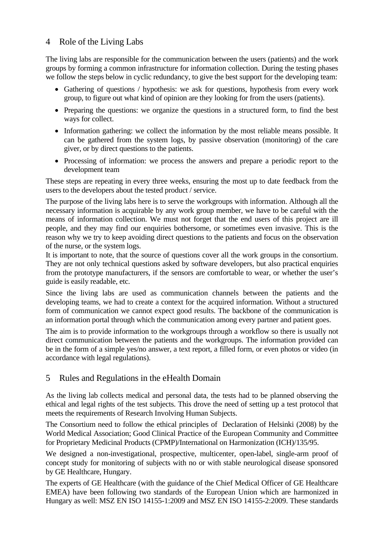# 4 Role of the Living Labs

The living labs are responsible for the communication between the users (patients) and the work groups by forming a common infrastructure for information collection. During the testing phases we follow the steps below in cyclic redundancy, to give the best support for the developing team:

- Gathering of questions / hypothesis: we ask for questions, hypothesis from every work group, to figure out what kind of opinion are they looking for from the users (patients).
- Preparing the questions: we organize the questions in a structured form, to find the best ways for collect.
- Information gathering: we collect the information by the most reliable means possible. It can be gathered from the system logs, by passive observation (monitoring) of the care giver, or by direct questions to the patients.
- Processing of information: we process the answers and prepare a periodic report to the development team

These steps are repeating in every three weeks, ensuring the most up to date feedback from the users to the developers about the tested product / service.

The purpose of the living labs here is to serve the workgroups with information. Although all the necessary information is acquirable by any work group member, we have to be careful with the means of information collection. We must not forget that the end users of this project are ill people, and they may find our enquiries bothersome, or sometimes even invasive. This is the reason why we try to keep avoiding direct questions to the patients and focus on the observation of the nurse, or the system logs.

It is important to note, that the source of questions cover all the work groups in the consortium. They are not only technical questions asked by software developers, but also practical enquiries from the prototype manufacturers, if the sensors are comfortable to wear, or whether the user's guide is easily readable, etc.

Since the living labs are used as communication channels between the patients and the developing teams, we had to create a context for the acquired information. Without a structured form of communication we cannot expect good results. The backbone of the communication is an information portal through which the communication among every partner and patient goes.

The aim is to provide information to the workgroups through a workflow so there is usually not direct communication between the patients and the workgroups. The information provided can be in the form of a simple yes/no answer, a text report, a filled form, or even photos or video (in accordance with legal regulations).

## 5 Rules and Regulations in the eHealth Domain

As the living lab collects medical and personal data, the tests had to be planned observing the ethical and legal rights of the test subjects. This drove the need of setting up a test protocol that meets the requirements of Research Involving Human Subjects.

The Consortium need to follow the ethical principles of Declaration of Helsinki (2008) by the World Medical Association; Good Clinical Practice of the European Community and Committee for Proprietary Medicinal Products (CPMP)/International on Harmonization (ICH)/135/95.

We designed a non-investigational, prospective, multicenter, open-label, single-arm proof of concept study for monitoring of subjects with no or with stable neurological disease sponsored by GE Healthcare, Hungary.

The experts of GE Healthcare (with the guidance of the Chief Medical Officer of GE Healthcare EMEA) have been following two standards of the European Union which are harmonized in Hungary as well: MSZ EN ISO 14155-1:2009 and MSZ EN ISO 14155-2:2009. These standards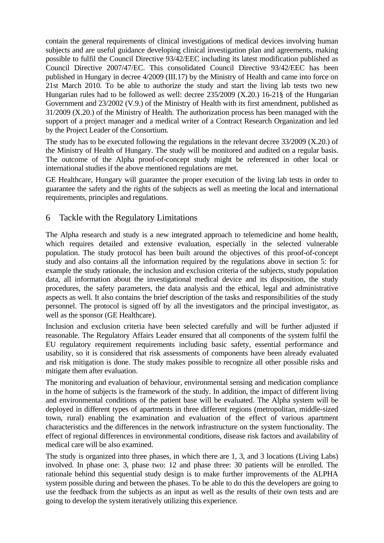contain the general requirements of clinical investigations of medical devices involving human subjects and are useful guidance developing clinical investigation plan and agreements, making possible to fulfil the Council Directive 93/42/EEC including its latest modification published as Council Directive 2007/47/EC. This consolidated Council Directive 93/42/EEC has been published in Hungary in decree 4/2009 (III.17) by the Ministry of Health and came into force on 21st March 2010. To be able to authorize the study and start the living lab tests two new Hungarian rules had to be followed as well: decree 235/2009 (X.20.) 16-21§ of the Hungarian Government and 23/2002 (V.9.) of the Ministry of Health with its first amendment, published as 31/2009 (X.20.) of the Ministry of Health. The authorization process has been managed with the support of a project manager and a medical writer of a Contract Research Organization and led by the Project Leader of the Consortium.

The study has to be executed following the regulations in the relevant decree 33/2009 (X.20.) of the Ministry of Health of Hungary. The study will be monitored and audited on a regular basis. The outcome of the Alpha proof-of-concept study might be referenced in other local or international studies if the above mentioned regulations are met.

GE Healthcare, Hungary will guarantee the proper execution of the living lab tests in order to guarantee the safety and the rights of the subjects as well as meeting the local and international requirements, principles and regulations.

## 6 Tackle with the Regulatory Limitations

The Alpha research and study is a new integrated approach to telemedicine and home health, which requires detailed and extensive evaluation, especially in the selected vulnerable population. The study protocol has been built around the objectives of this proof-of-concept study and also contains all the information required by the regulations above in section 5: for example the study rationale, the inclusion and exclusion criteria of the subjects, study population data, all information about the investigational medical device and its disposition, the study procedures, the safety parameters, the data analysis and the ethical, legal and administrative aspects as well. It also contains the brief description of the tasks and responsibilities of the study personnel. The protocol is signed off by all the investigators and the principal investigator, as well as the sponsor (GE Healthcare).

Inclusion and exclusion criteria have been selected carefully and will be further adjusted if reasonable. The Regulatory Affairs Leader ensured that all components of the system fulfil the EU regulatory requirement requirements including basic safety, essential performance and usability, so it is considered that risk assessments of components have been already evaluated and risk mitigation is done. The study makes possible to recognize all other possible risks and mitigate them after evaluation.

The monitoring and evaluation of behaviour, environmental sensing and medication compliance in the home of subjects is the framework of the study. In addition, the impact of different living and environmental conditions of the patient base will be evaluated. The Alpha system will be deployed in different types of apartments in three different regions (metropolitan, middle-sized town, rural) enabling the examination and evaluation of the effect of various apartment characteristics and the differences in the network infrastructure on the system functionality. The effect of regional differences in environmental conditions, disease risk factors and availability of medical care will be also examined.

The study is organized into three phases, in which there are 1, 3, and 3 locations (Living Labs) involved. In phase one: 3, phase two: 12 and phase three: 30 patients will be enrolled. The rationale behind this sequential study design is to make further improvements of the ALPHA system possible during and between the phases. To be able to do this the developers are going to use the feedback from the subjects as an input as well as the results of their own tests and are going to develop the system iteratively utilizing this experience.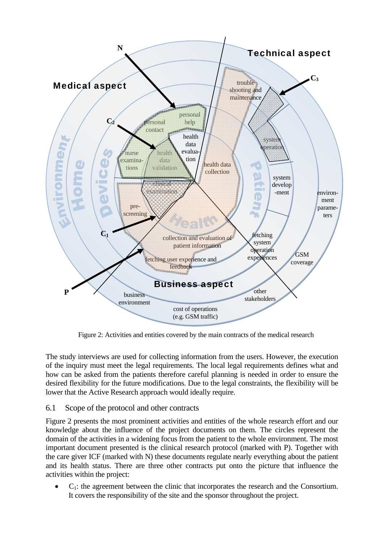

Figure 2: Activities and entities covered by the main contracts of the medical research

The study interviews are used for collecting information from the users. However, the execution of the inquiry must meet the legal requirements. The local legal requirements defines what and how can be asked from the patients therefore careful planning is needed in order to ensure the desired flexibility for the future modifications. Due to the legal constraints, the flexibility will be lower that the Active Research approach would ideally require.

#### 6.1 Scope of the protocol and other contracts

Figure 2 presents the most prominent activities and entities of the whole research effort and our knowledge about the influence of the project documents on them. The circles represent the domain of the activities in a widening focus from the patient to the whole environment. The most important document presented is the clinical research protocol (marked with P). Together with the care giver ICF (marked with N) these documents regulate nearly everything about the patient and its health status. There are three other contracts put onto the picture that influence the activities within the project:

• C1: the agreement between the clinic that incorporates the research and the Consortium. It covers the responsibility of the site and the sponsor throughout the project.